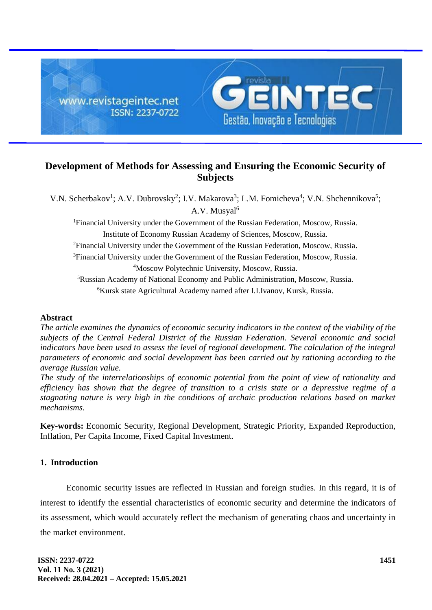

# **Development of Methods for Assessing and Ensuring the Economic Security of Subjects**

V.N. Scherbakov<sup>1</sup>; A.V. Dubrovsky<sup>2</sup>; I.V. Makarova<sup>3</sup>; L.M. Fomicheva<sup>4</sup>; V.N. Shchennikova<sup>5</sup>; A.V. Musyal<sup>6</sup> <sup>1</sup>Financial University under the Government of the Russian Federation, Moscow, Russia.

Institute of Economy Russian Academy of Sciences, Moscow, Russia.

<sup>2</sup>Financial University under the Government of the Russian Federation, Moscow, Russia.

<sup>3</sup>Financial University under the Government of the Russian Federation, Moscow, Russia. <sup>4</sup>Moscow Polytechnic University, Moscow, Russia.

<sup>5</sup>Russian Academy of National Economy and Public Administration, Moscow, Russia. <sup>6</sup>Kursk state Agricultural Academy named after I.I.Ivanov, Kursk, Russia.

## **Abstract**

*The article examines the dynamics of economic security indicators in the context of the viability of the subjects of the Central Federal District of the Russian Federation. Several economic and social indicators have been used to assess the level of regional development. The calculation of the integral parameters of economic and social development has been carried out by rationing according to the average Russian value.*

*The study of the interrelationships of economic potential from the point of view of rationality and efficiency has shown that the degree of transition to a crisis state or a depressive regime of a stagnating nature is very high in the conditions of archaic production relations based on market mechanisms.*

**Key-words:** Economic Security, Regional Development, Strategic Priority, Expanded Reproduction, Inflation, Per Capita Income, Fixed Capital Investment.

## **1. Introduction**

Economic security issues are reflected in Russian and foreign studies. In this regard, it is of interest to identify the essential characteristics of economic security and determine the indicators of its assessment, which would accurately reflect the mechanism of generating chaos and uncertainty in the market environment.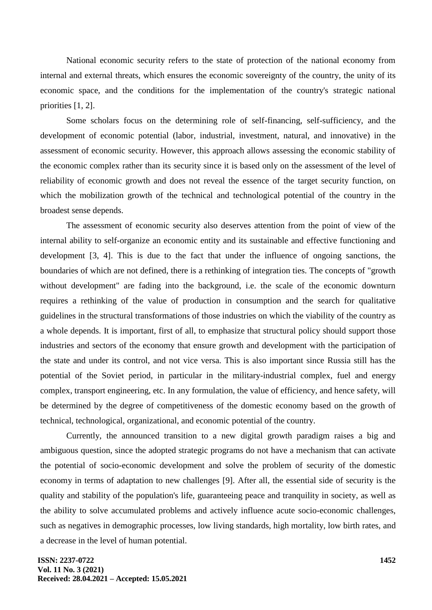National economic security refers to the state of protection of the national economy from internal and external threats, which ensures the economic sovereignty of the country, the unity of its economic space, and the conditions for the implementation of the country's strategic national priorities [1, 2].

Some scholars focus on the determining role of self-financing, self-sufficiency, and the development of economic potential (labor, industrial, investment, natural, and innovative) in the assessment of economic security. However, this approach allows assessing the economic stability of the economic complex rather than its security since it is based only on the assessment of the level of reliability of economic growth and does not reveal the essence of the target security function, on which the mobilization growth of the technical and technological potential of the country in the broadest sense depends.

The assessment of economic security also deserves attention from the point of view of the internal ability to self-organize an economic entity and its sustainable and effective functioning and development [3, 4]. This is due to the fact that under the influence of ongoing sanctions, the boundaries of which are not defined, there is a rethinking of integration ties. The concepts of "growth without development" are fading into the background, i.e. the scale of the economic downturn requires a rethinking of the value of production in consumption and the search for qualitative guidelines in the structural transformations of those industries on which the viability of the country as a whole depends. It is important, first of all, to emphasize that structural policy should support those industries and sectors of the economy that ensure growth and development with the participation of the state and under its control, and not vice versa. This is also important since Russia still has the potential of the Soviet period, in particular in the military-industrial complex, fuel and energy complex, transport engineering, etc. In any formulation, the value of efficiency, and hence safety, will be determined by the degree of competitiveness of the domestic economy based on the growth of technical, technological, organizational, and economic potential of the country.

Currently, the announced transition to a new digital growth paradigm raises a big and ambiguous question, since the adopted strategic programs do not have a mechanism that can activate the potential of socio-economic development and solve the problem of security of the domestic economy in terms of adaptation to new challenges [9]. After all, the essential side of security is the quality and stability of the population's life, guaranteeing peace and tranquility in society, as well as the ability to solve accumulated problems and actively influence acute socio-economic challenges, such as negatives in demographic processes, low living standards, high mortality, low birth rates, and a decrease in the level of human potential.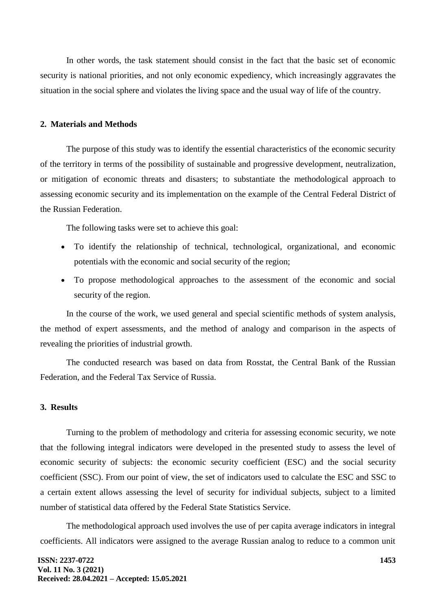In other words, the task statement should consist in the fact that the basic set of economic security is national priorities, and not only economic expediency, which increasingly aggravates the situation in the social sphere and violates the living space and the usual way of life of the country.

### **2. Materials and Methods**

The purpose of this study was to identify the essential characteristics of the economic security of the territory in terms of the possibility of sustainable and progressive development, neutralization, or mitigation of economic threats and disasters; to substantiate the methodological approach to assessing economic security and its implementation on the example of the Central Federal District of the Russian Federation.

The following tasks were set to achieve this goal:

- To identify the relationship of technical, technological, organizational, and economic potentials with the economic and social security of the region;
- To propose methodological approaches to the assessment of the economic and social security of the region.

In the course of the work, we used general and special scientific methods of system analysis, the method of expert assessments, and the method of analogy and comparison in the aspects of revealing the priorities of industrial growth.

The conducted research was based on data from Rosstat, the Central Bank of the Russian Federation, and the Federal Tax Service of Russia.

#### **3. Results**

Turning to the problem of methodology and criteria for assessing economic security, we note that the following integral indicators were developed in the presented study to assess the level of economic security of subjects: the economic security coefficient (ESC) and the social security coefficient (SSC). From our point of view, the set of indicators used to calculate the ESC and SSC to a certain extent allows assessing the level of security for individual subjects, subject to a limited number of statistical data offered by the Federal State Statistics Service.

The methodological approach used involves the use of per capita average indicators in integral coefficients. All indicators were assigned to the average Russian analog to reduce to a common unit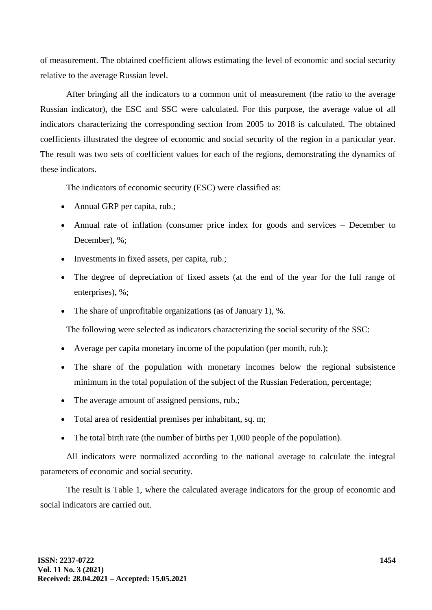of measurement. The obtained coefficient allows estimating the level of economic and social security relative to the average Russian level.

After bringing all the indicators to a common unit of measurement (the ratio to the average Russian indicator), the ESC and SSC were calculated. For this purpose, the average value of all indicators characterizing the corresponding section from 2005 to 2018 is calculated. The obtained coefficients illustrated the degree of economic and social security of the region in a particular year. The result was two sets of coefficient values for each of the regions, demonstrating the dynamics of these indicators.

The indicators of economic security (ESC) were classified as:

- Annual GRP per capita, rub.;
- Annual rate of inflation (consumer price index for goods and services December to December), %;
- Investments in fixed assets, per capita, rub.;
- The degree of depreciation of fixed assets (at the end of the year for the full range of enterprises), %;
- The share of unprofitable organizations (as of January 1), %.

The following were selected as indicators characterizing the social security of the SSC:

- Average per capita monetary income of the population (per month, rub.);
- The share of the population with monetary incomes below the regional subsistence minimum in the total population of the subject of the Russian Federation, percentage;
- The average amount of assigned pensions, rub.;
- Total area of residential premises per inhabitant, sq. m;
- The total birth rate (the number of births per 1,000 people of the population).

All indicators were normalized according to the national average to calculate the integral parameters of economic and social security.

The result is Table 1, where the calculated average indicators for the group of economic and social indicators are carried out.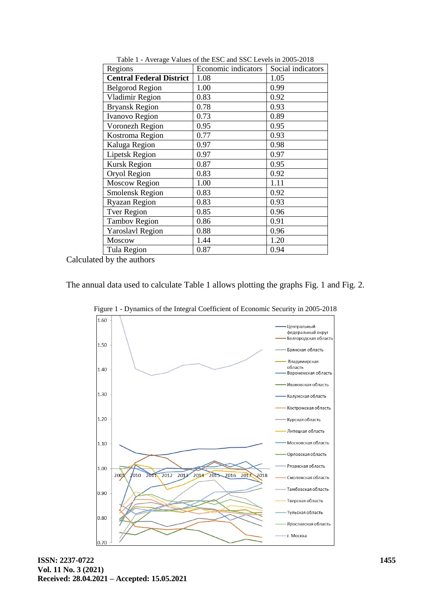| Regions                         | Economic indicators | Social indicators |
|---------------------------------|---------------------|-------------------|
| <b>Central Federal District</b> | 1.08                | 1.05              |
| <b>Belgorod Region</b>          | 1.00                | 0.99              |
| Vladimir Region                 | 0.83                | 0.92              |
| <b>Bryansk Region</b>           | 0.78                | 0.93              |
| <b>Ivanovo Region</b>           | 0.73                | 0.89              |
| Voronezh Region                 | 0.95                | 0.95              |
| Kostroma Region                 | 0.77                | 0.93              |
| Kaluga Region                   | 0.97                | 0.98              |
| <b>Lipetsk Region</b>           | 0.97                | 0.97              |
| <b>Kursk Region</b>             | 0.87                | 0.95              |
| Oryol Region                    | 0.83                | 0.92              |
| <b>Moscow Region</b>            | 1.00                | 1.11              |
| <b>Smolensk Region</b>          | 0.83                | 0.92              |
| <b>Ryazan Region</b>            | 0.83                | 0.93              |
| <b>Tver Region</b>              | 0.85                | 0.96              |
| <b>Tambov Region</b>            | 0.86                | 0.91              |
| <b>Yaroslavl Region</b>         | 0.88                | 0.96              |
| Moscow                          | 1.44                | 1.20              |
| Tula Region                     | 0.87                | 0.94              |

Table 1 - Average Values of the ESC and SSC Levels in 2005-2018

Calculated by the authors

The annual data used to calculate Table 1 allows plotting the graphs Fig. 1 and Fig. 2.



Figure 1 - Dynamics of the Integral Coefficient of Economic Security in 2005-2018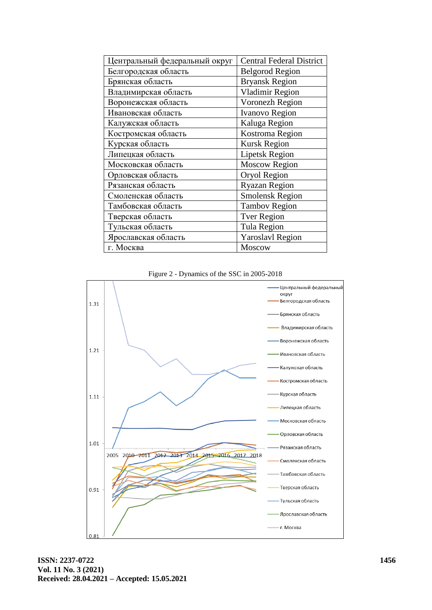| Центральный федеральный округ | <b>Central Federal District</b> |
|-------------------------------|---------------------------------|
| Белгородская область          | <b>Belgorod Region</b>          |
| Брянская область              | <b>Bryansk Region</b>           |
| Владимирская область          | <b>Vladimir Region</b>          |
| Воронежская область           | Voronezh Region                 |
| Ивановская область            | <b>Ivanovo Region</b>           |
| Калужская область             | Kaluga Region                   |
| Костромская область           | Kostroma Region                 |
| Курская область               | <b>Kursk Region</b>             |
| Липецкая область              | <b>Lipetsk Region</b>           |
| Московская область            | <b>Moscow Region</b>            |
| Орловская область             | Oryol Region                    |
| Рязанская область             | <b>Ryazan Region</b>            |
| Смоленская область            | <b>Smolensk Region</b>          |
| Тамбовская область            | <b>Tambov Region</b>            |
| Тверская область              | <b>Tver Region</b>              |
| Тульская область              | <b>Tula Region</b>              |
| Ярославская область           | <b>Yaroslavl Region</b>         |
| г. Москва                     | <b>Moscow</b>                   |

Figure 2 - Dynamics of the SSC in 2005-2018

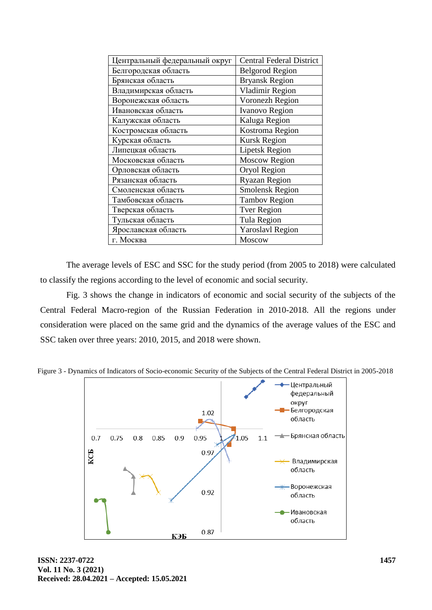| Центральный федеральный округ | <b>Central Federal District</b> |
|-------------------------------|---------------------------------|
| Белгородская область          | <b>Belgorod Region</b>          |
| Брянская область              | <b>Bryansk Region</b>           |
| Владимирская область          | Vladimir Region                 |
| Воронежская область           | Voronezh Region                 |
| Ивановская область            | <b>Ivanovo Region</b>           |
| Калужская область             | Kaluga Region                   |
| Костромская область           | Kostroma Region                 |
| Курская область               | <b>Kursk Region</b>             |
| Липецкая область              | <b>Lipetsk Region</b>           |
| Московская область            | <b>Moscow Region</b>            |
| Орловская область             | Oryol Region                    |
| Рязанская область             | <b>Ryazan Region</b>            |
| Смоленская область            | <b>Smolensk Region</b>          |
| Тамбовская область            | <b>Tambov Region</b>            |
| Тверская область              | <b>Tver Region</b>              |
| Тульская область              | Tula Region                     |
| Ярославская область           | <b>Yaroslavl Region</b>         |
| г. Москва                     | Moscow                          |

The average levels of ESC and SSC for the study period (from 2005 to 2018) were calculated to classify the regions according to the level of economic and social security.

Fig. 3 shows the change in indicators of economic and social security of the subjects of the Central Federal Macro-region of the Russian Federation in 2010-2018. All the regions under consideration were placed on the same grid and the dynamics of the average values of the ESC and SSC taken over three years: 2010, 2015, and 2018 were shown.



Figure 3 - Dynamics of Indicators of Socio-economic Security of the Subjects of the Central Federal District in 2005-2018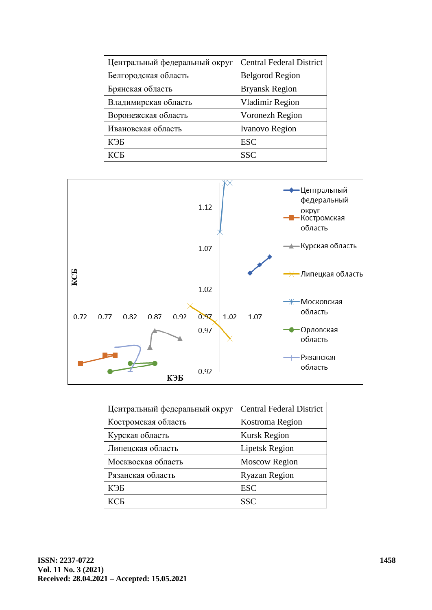| Центральный федеральный округ | <b>Central Federal District</b> |
|-------------------------------|---------------------------------|
| Белгородская область          | <b>Belgorod Region</b>          |
| Брянская область              | <b>Bryansk Region</b>           |
| Владимирская область          | <b>Vladimir Region</b>          |
| Воронежская область           | Voronezh Region                 |
| Ивановская область            | Ivanovo Region                  |
| КЭБ                           | <b>ESC</b>                      |
| <b>KCF</b>                    | SSC                             |



| Центральный федеральный округ | <b>Central Federal District</b> |
|-------------------------------|---------------------------------|
| Костромская область           | Kostroma Region                 |
| Курская область               | <b>Kursk Region</b>             |
| Липецская область             | <b>Lipetsk Region</b>           |
| Москвоская область            | <b>Moscow Region</b>            |
| Рязанская область             | <b>Ryazan Region</b>            |
| КЭБ                           | <b>ESC</b>                      |
| КСБ                           | <b>SSC</b>                      |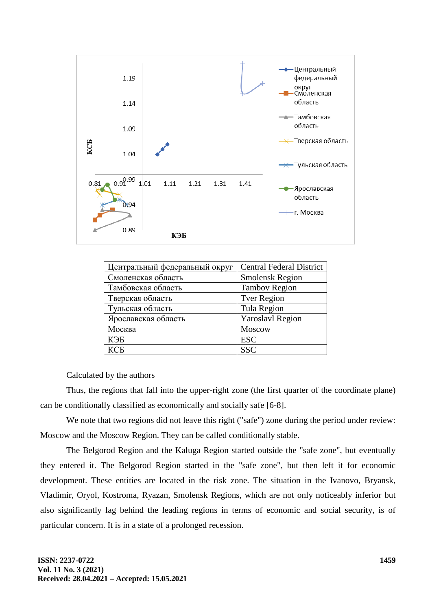

| Центральный федеральный округ | <b>Central Federal District</b> |
|-------------------------------|---------------------------------|
| Смоленская область            | <b>Smolensk Region</b>          |
| Тамбовская область            | <b>Tambov Region</b>            |
| Тверская область              | <b>Tver Region</b>              |
| Тульская область              | <b>Tula Region</b>              |
| Ярославская область           | <b>Yaroslavl Region</b>         |
| Москва                        | Moscow                          |
| КЭБ                           | <b>ESC</b>                      |
| КСБ                           | <b>SSC</b>                      |

Calculated by the authors

Thus, the regions that fall into the upper-right zone (the first quarter of the coordinate plane) can be conditionally classified as economically and socially safe [6-8].

We note that two regions did not leave this right ("safe") zone during the period under review: Moscow and the Moscow Region. They can be called conditionally stable.

The Belgorod Region and the Kaluga Region started outside the "safe zone", but eventually they entered it. The Belgorod Region started in the "safe zone", but then left it for economic development. These entities are located in the risk zone. The situation in the Ivanovo, Bryansk, Vladimir, Oryol, Kostroma, Ryazan, Smolensk Regions, which are not only noticeably inferior but also significantly lag behind the leading regions in terms of economic and social security, is of particular concern. It is in a state of a prolonged recession.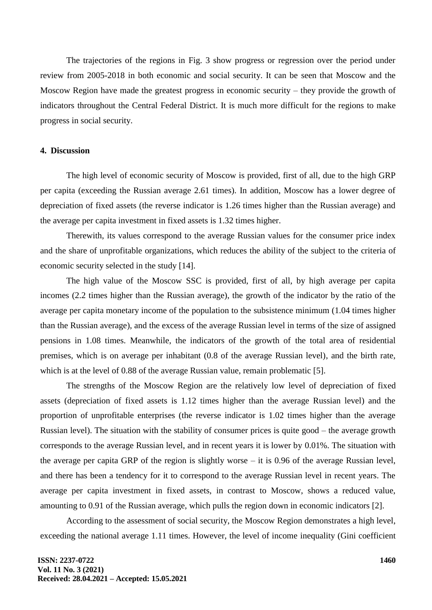The trajectories of the regions in Fig. 3 show progress or regression over the period under review from 2005-2018 in both economic and social security. It can be seen that Moscow and the Moscow Region have made the greatest progress in economic security – they provide the growth of indicators throughout the Central Federal District. It is much more difficult for the regions to make progress in social security.

#### **4. Discussion**

The high level of economic security of Moscow is provided, first of all, due to the high GRP per capita (exceeding the Russian average 2.61 times). In addition, Moscow has a lower degree of depreciation of fixed assets (the reverse indicator is 1.26 times higher than the Russian average) and the average per capita investment in fixed assets is 1.32 times higher.

Therewith, its values correspond to the average Russian values for the consumer price index and the share of unprofitable organizations, which reduces the ability of the subject to the criteria of economic security selected in the study [14].

The high value of the Moscow SSC is provided, first of all, by high average per capita incomes (2.2 times higher than the Russian average), the growth of the indicator by the ratio of the average per capita monetary income of the population to the subsistence minimum (1.04 times higher than the Russian average), and the excess of the average Russian level in terms of the size of assigned pensions in 1.08 times. Meanwhile, the indicators of the growth of the total area of residential premises, which is on average per inhabitant (0.8 of the average Russian level), and the birth rate, which is at the level of 0.88 of the average Russian value, remain problematic [5].

The strengths of the Moscow Region are the relatively low level of depreciation of fixed assets (depreciation of fixed assets is 1.12 times higher than the average Russian level) and the proportion of unprofitable enterprises (the reverse indicator is 1.02 times higher than the average Russian level). The situation with the stability of consumer prices is quite good – the average growth corresponds to the average Russian level, and in recent years it is lower by 0.01%. The situation with the average per capita GRP of the region is slightly worse – it is 0.96 of the average Russian level, and there has been a tendency for it to correspond to the average Russian level in recent years. The average per capita investment in fixed assets, in contrast to Moscow, shows a reduced value, amounting to 0.91 of the Russian average, which pulls the region down in economic indicators [2].

According to the assessment of social security, the Moscow Region demonstrates a high level, exceeding the national average 1.11 times. However, the level of income inequality (Gini coefficient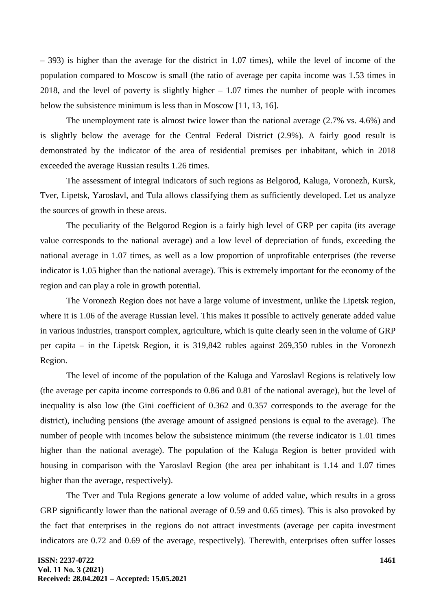– 393) is higher than the average for the district in 1.07 times), while the level of income of the population compared to Moscow is small (the ratio of average per capita income was 1.53 times in 2018, and the level of poverty is slightly higher – 1.07 times the number of people with incomes below the subsistence minimum is less than in Moscow [11, 13, 16].

The unemployment rate is almost twice lower than the national average (2.7% vs. 4.6%) and is slightly below the average for the Central Federal District (2.9%). A fairly good result is demonstrated by the indicator of the area of residential premises per inhabitant, which in 2018 exceeded the average Russian results 1.26 times.

The assessment of integral indicators of such regions as Belgorod, Kaluga, Voronezh, Kursk, Tver, Lipetsk, Yaroslavl, and Tula allows classifying them as sufficiently developed. Let us analyze the sources of growth in these areas.

The peculiarity of the Belgorod Region is a fairly high level of GRP per capita (its average value corresponds to the national average) and a low level of depreciation of funds, exceeding the national average in 1.07 times, as well as a low proportion of unprofitable enterprises (the reverse indicator is 1.05 higher than the national average). This is extremely important for the economy of the region and can play a role in growth potential.

The Voronezh Region does not have a large volume of investment, unlike the Lipetsk region, where it is 1.06 of the average Russian level. This makes it possible to actively generate added value in various industries, transport complex, agriculture, which is quite clearly seen in the volume of GRP per capita – in the Lipetsk Region, it is 319,842 rubles against 269,350 rubles in the Voronezh Region.

The level of income of the population of the Kaluga and Yaroslavl Regions is relatively low (the average per capita income corresponds to 0.86 and 0.81 of the national average), but the level of inequality is also low (the Gini coefficient of 0.362 and 0.357 corresponds to the average for the district), including pensions (the average amount of assigned pensions is equal to the average). The number of people with incomes below the subsistence minimum (the reverse indicator is 1.01 times higher than the national average). The population of the Kaluga Region is better provided with housing in comparison with the Yaroslavl Region (the area per inhabitant is 1.14 and 1.07 times higher than the average, respectively).

The Tver and Tula Regions generate a low volume of added value, which results in a gross GRP significantly lower than the national average of 0.59 and 0.65 times). This is also provoked by the fact that enterprises in the regions do not attract investments (average per capita investment indicators are 0.72 and 0.69 of the average, respectively). Therewith, enterprises often suffer losses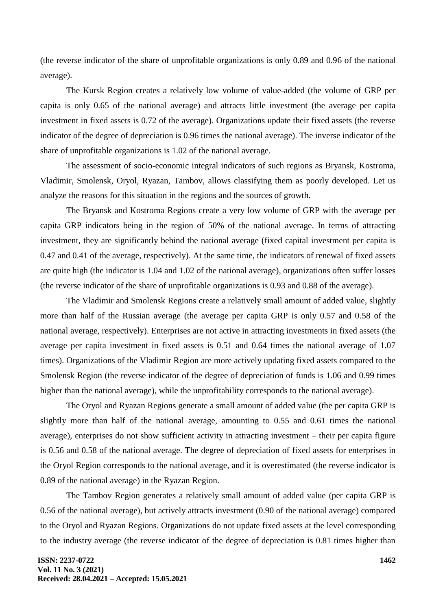(the reverse indicator of the share of unprofitable organizations is only 0.89 and 0.96 of the national average).

The Kursk Region creates a relatively low volume of value-added (the volume of GRP per capita is only 0.65 of the national average) and attracts little investment (the average per capita investment in fixed assets is 0.72 of the average). Organizations update their fixed assets (the reverse indicator of the degree of depreciation is 0.96 times the national average). The inverse indicator of the share of unprofitable organizations is 1.02 of the national average.

The assessment of socio-economic integral indicators of such regions as Bryansk, Kostroma, Vladimir, Smolensk, Oryol, Ryazan, Tambov, allows classifying them as poorly developed. Let us analyze the reasons for this situation in the regions and the sources of growth.

The Bryansk and Kostroma Regions create a very low volume of GRP with the average per capita GRP indicators being in the region of 50% of the national average. In terms of attracting investment, they are significantly behind the national average (fixed capital investment per capita is 0.47 and 0.41 of the average, respectively). At the same time, the indicators of renewal of fixed assets are quite high (the indicator is 1.04 and 1.02 of the national average), organizations often suffer losses (the reverse indicator of the share of unprofitable organizations is 0.93 and 0.88 of the average).

The Vladimir and Smolensk Regions create a relatively small amount of added value, slightly more than half of the Russian average (the average per capita GRP is only 0.57 and 0.58 of the national average, respectively). Enterprises are not active in attracting investments in fixed assets (the average per capita investment in fixed assets is 0.51 and 0.64 times the national average of 1.07 times). Organizations of the Vladimir Region are more actively updating fixed assets compared to the Smolensk Region (the reverse indicator of the degree of depreciation of funds is 1.06 and 0.99 times higher than the national average), while the unprofitability corresponds to the national average).

The Oryol and Ryazan Regions generate a small amount of added value (the per capita GRP is slightly more than half of the national average, amounting to 0.55 and 0.61 times the national average), enterprises do not show sufficient activity in attracting investment – their per capita figure is 0.56 and 0.58 of the national average. The degree of depreciation of fixed assets for enterprises in the Oryol Region corresponds to the national average, and it is overestimated (the reverse indicator is 0.89 of the national average) in the Ryazan Region.

The Tambov Region generates a relatively small amount of added value (per capita GRP is 0.56 of the national average), but actively attracts investment (0.90 of the national average) compared to the Oryol and Ryazan Regions. Organizations do not update fixed assets at the level corresponding to the industry average (the reverse indicator of the degree of depreciation is 0.81 times higher than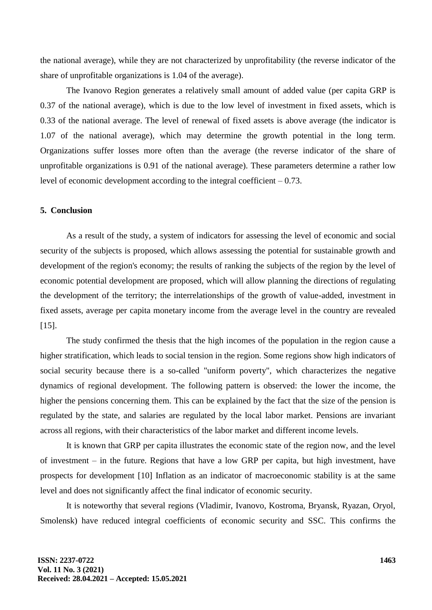the national average), while they are not characterized by unprofitability (the reverse indicator of the share of unprofitable organizations is 1.04 of the average).

The Ivanovo Region generates a relatively small amount of added value (per capita GRP is 0.37 of the national average), which is due to the low level of investment in fixed assets, which is 0.33 of the national average. The level of renewal of fixed assets is above average (the indicator is 1.07 of the national average), which may determine the growth potential in the long term. Organizations suffer losses more often than the average (the reverse indicator of the share of unprofitable organizations is 0.91 of the national average). These parameters determine a rather low level of economic development according to the integral coefficient  $-0.73$ .

### **5. Conclusion**

As a result of the study, a system of indicators for assessing the level of economic and social security of the subjects is proposed, which allows assessing the potential for sustainable growth and development of the region's economy; the results of ranking the subjects of the region by the level of economic potential development are proposed, which will allow planning the directions of regulating the development of the territory; the interrelationships of the growth of value-added, investment in fixed assets, average per capita monetary income from the average level in the country are revealed [15].

The study confirmed the thesis that the high incomes of the population in the region cause a higher stratification, which leads to social tension in the region. Some regions show high indicators of social security because there is a so-called "uniform poverty", which characterizes the negative dynamics of regional development. The following pattern is observed: the lower the income, the higher the pensions concerning them. This can be explained by the fact that the size of the pension is regulated by the state, and salaries are regulated by the local labor market. Pensions are invariant across all regions, with their characteristics of the labor market and different income levels.

It is known that GRP per capita illustrates the economic state of the region now, and the level of investment – in the future. Regions that have a low GRP per capita, but high investment, have prospects for development [10] Inflation as an indicator of macroeconomic stability is at the same level and does not significantly affect the final indicator of economic security.

It is noteworthy that several regions (Vladimir, Ivanovo, Kostroma, Bryansk, Ryazan, Oryol, Smolensk) have reduced integral coefficients of economic security and SSC. This confirms the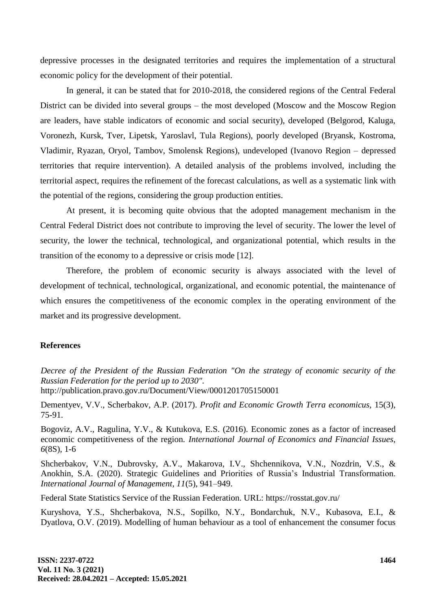depressive processes in the designated territories and requires the implementation of a structural economic policy for the development of their potential.

In general, it can be stated that for 2010-2018, the considered regions of the Central Federal District can be divided into several groups – the most developed (Moscow and the Moscow Region are leaders, have stable indicators of economic and social security), developed (Belgorod, Kaluga, Voronezh, Kursk, Tver, Lipetsk, Yaroslavl, Tula Regions), poorly developed (Bryansk, Kostroma, Vladimir, Ryazan, Oryol, Tambov, Smolensk Regions), undeveloped (Ivanovo Region – depressed territories that require intervention). A detailed analysis of the problems involved, including the territorial aspect, requires the refinement of the forecast calculations, as well as a systematic link with the potential of the regions, considering the group production entities.

At present, it is becoming quite obvious that the adopted management mechanism in the Central Federal District does not contribute to improving the level of security. The lower the level of security, the lower the technical, technological, and organizational potential, which results in the transition of the economy to a depressive or crisis mode [12].

Therefore, the problem of economic security is always associated with the level of development of technical, technological, organizational, and economic potential, the maintenance of which ensures the competitiveness of the economic complex in the operating environment of the market and its progressive development.

#### **References**

*Decree of the President of the Russian Federation "On the strategy of economic security of the Russian Federation for the period up to 2030".* http://publication.pravo.gov.ru/Document/View/0001201705150001

Dementyev, V.V., Scherbakov, A.P. (2017). *Profit and Economic Growth Terra economicus,* 15(3), 75-91.

Bogoviz, A.V., Ragulina, Y.V., & Kutukova, E.S. (2016). Economic zones as a factor of increased economic competitiveness of the region. *International Journal of Economics and Financial Issues, 6*(8S), 1-6

Shcherbakov, V.N., Dubrovsky, A.V., Makarova, I.V., Shchennikova, V.N., Nozdrin, V.S., & Anokhin, S.A. (2020). Strategic Guidelines and Priorities of Russia's Industrial Transformation. *International Journal of Management, 11*(5), 941–949.

Federal State Statistics Service of the Russian Federation. URL: https://rosstat.gov.ru/

Kuryshova, Y.S., Shcherbakova, N.S., Sopilko, N.Y., Bondarchuk, N.V., Kubasova, E.I., & Dyatlova, O.V. (2019). Modelling of human behaviour as a tool of enhancement the consumer focus